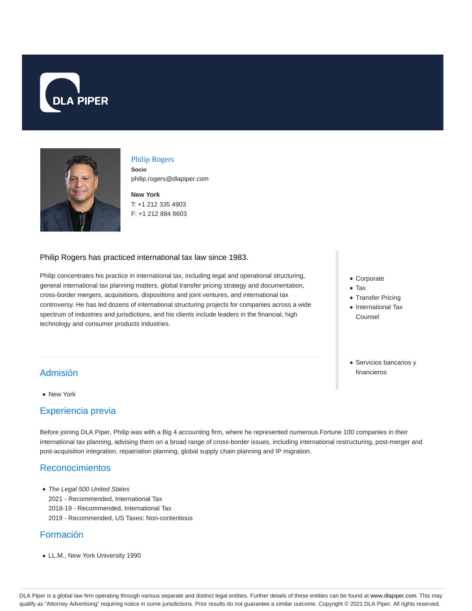



#### Philip Rogers

**Socio** philip.rogers@dlapiper.com

**New York** T: +1 212 335 4903 F: +1 212 884 8603

#### Philip Rogers has practiced international tax law since 1983.

Philip concentrates his practice in international tax, including legal and operational structuring, general international tax planning matters, global transfer pricing strategy and documentation, cross-border mergers, acquisitions, dispositions and joint ventures, and international tax controversy. He has led dozens of international structuring projects for companies across a wide spectrum of industries and jurisdictions, and his clients include leaders in the financial, high technology and consumer products industries.

- Corporate
- Tax
- Transfer Pricing
- International Tax Counsel
- Servicios bancarios y financieros

# Admisión

New York

### Experiencia previa

Before joining DLA Piper, Philip was with a Big 4 accounting firm, where he represented numerous Fortune 100 companies in their international tax planning, advising them on a broad range of cross-border issues, including international restructuring, post-merger and post-acquisition integration, repatriation planning, global supply chain planning and IP migration.

# Reconocimientos

• The Legal 500 United States 2021 - Recommended, International Tax 2018-19 - Recommended, International Tax 2019 - Recommended, US Taxes: Non-contentious

# Formación

LL.M., New York University 1990